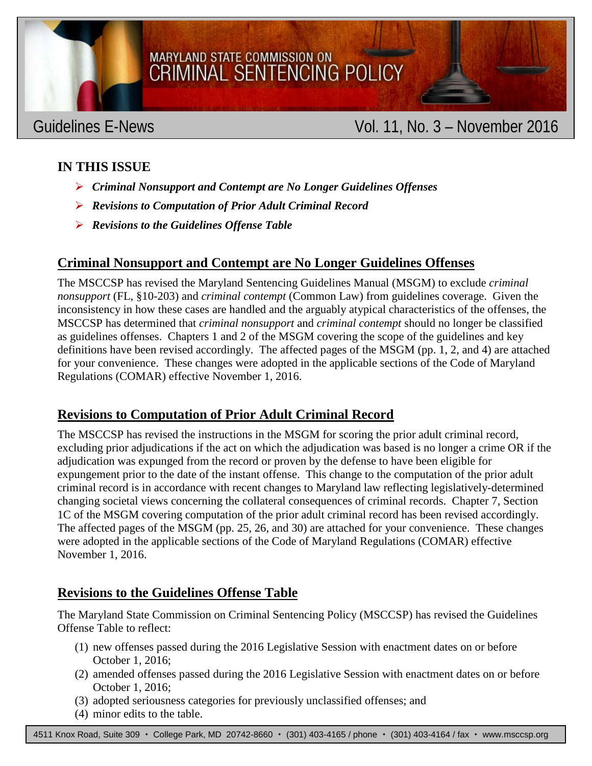

### MARYLAND STATE COMMISSION ON **CRIMINAL SENTENCING POLICY**

### Guidelines E-News **Vol. 11, No. 3 – November 2016**

#### **IN THIS ISSUE**

- *Criminal Nonsupport and Contempt are No Longer Guidelines Offenses*
- *Revisions to Computation of Prior Adult Criminal Record*
- *Revisions to the Guidelines Offense Table*

#### **Criminal Nonsupport and Contempt are No Longer Guidelines Offenses**

The MSCCSP has revised the Maryland Sentencing Guidelines Manual (MSGM) to exclude *criminal nonsupport* (FL, §10-203) and *criminal contempt* (Common Law) from guidelines coverage. Given the inconsistency in how these cases are handled and the arguably atypical characteristics of the offenses, the MSCCSP has determined that *criminal nonsupport* and *criminal contempt* should no longer be classified as guidelines offenses. Chapters 1 and 2 of the MSGM covering the scope of the guidelines and key definitions have been revised accordingly. The affected pages of the MSGM (pp. 1, 2, and 4) are attached for your convenience. These changes were adopted in the applicable sections of the Code of Maryland Regulations (COMAR) effective November 1, 2016.

#### **Revisions to Computation of Prior Adult Criminal Record**

The MSCCSP has revised the instructions in the MSGM for scoring the prior adult criminal record, excluding prior adjudications if the act on which the adjudication was based is no longer a crime OR if the adjudication was expunged from the record or proven by the defense to have been eligible for expungement prior to the date of the instant offense. This change to the computation of the prior adult criminal record is in accordance with recent changes to Maryland law reflecting legislatively-determined changing societal views concerning the collateral consequences of criminal records. Chapter 7, Section 1C of the MSGM covering computation of the prior adult criminal record has been revised accordingly. The affected pages of the MSGM (pp. 25, 26, and 30) are attached for your convenience. These changes were adopted in the applicable sections of the Code of Maryland Regulations (COMAR) effective November 1, 2016.

#### **Revisions to the Guidelines Offense Table**

The Maryland State Commission on Criminal Sentencing Policy (MSCCSP) has revised the Guidelines Offense Table to reflect:

- (1) new offenses passed during the 2016 Legislative Session with enactment dates on or before October 1, 2016;
- (2) amended offenses passed during the 2016 Legislative Session with enactment dates on or before October 1, 2016;
- (3) adopted seriousness categories for previously unclassified offenses; and
- (4) minor edits to the table.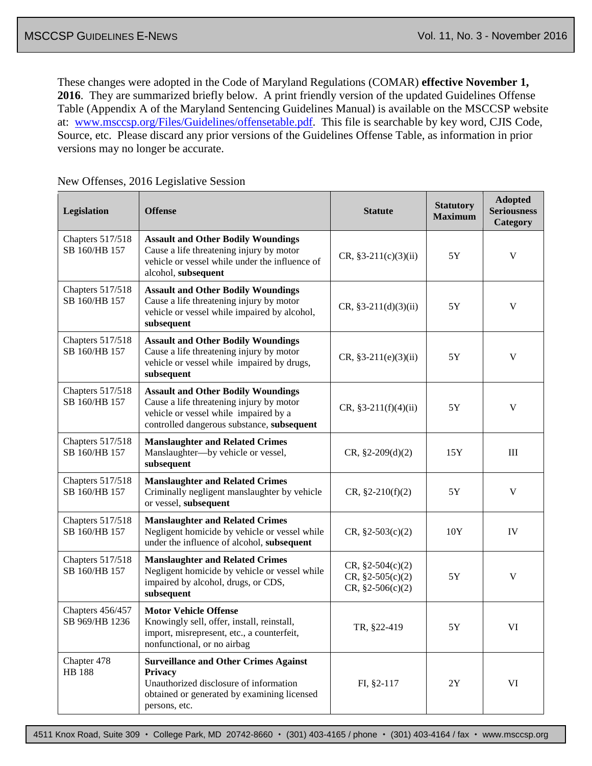These changes were adopted in the Code of Maryland Regulations (COMAR) **effective November 1, 2016**. They are summarized briefly below. A print friendly version of the updated Guidelines Offense Table (Appendix A of the Maryland Sentencing Guidelines Manual) is available on the MSCCSP website at: [www.msccsp.org/Files/Guidelines/offensetable.pdf.](http://www.msccsp.org/Files/Guidelines/offensetable.pdf) This file is searchable by key word, CJIS Code, Source, etc. Please discard any prior versions of the Guidelines Offense Table, as information in prior versions may no longer be accurate.

| Legislation                        | <b>Offense</b>                                                                                                                                                               | <b>Statute</b>                                                 | <b>Statutory</b><br><b>Maximum</b> | <b>Adopted</b><br><b>Seriousness</b><br>Category |
|------------------------------------|------------------------------------------------------------------------------------------------------------------------------------------------------------------------------|----------------------------------------------------------------|------------------------------------|--------------------------------------------------|
| Chapters 517/518<br>SB 160/HB 157  | <b>Assault and Other Bodily Woundings</b><br>Cause a life threatening injury by motor<br>vehicle or vessel while under the influence of<br>alcohol, subsequent               | $CR, §3-211(c)(3)(ii)$                                         | 5Y                                 | V                                                |
| Chapters 517/518<br>SB 160/HB 157  | <b>Assault and Other Bodily Woundings</b><br>Cause a life threatening injury by motor<br>vehicle or vessel while impaired by alcohol,<br>subsequent                          | $CR, §3-211(d)(3)(ii)$                                         | $5{\rm Y}$                         | V                                                |
| Chapters 517/518<br>SB 160/HB 157  | <b>Assault and Other Bodily Woundings</b><br>Cause a life threatening injury by motor<br>vehicle or vessel while impaired by drugs,<br>subsequent                            | $CR, §3-211(e)(3)(ii)$                                         | 5Y                                 | V                                                |
| Chapters 517/518<br>SB 160/HB 157  | <b>Assault and Other Bodily Woundings</b><br>Cause a life threatening injury by motor<br>vehicle or vessel while impaired by a<br>controlled dangerous substance, subsequent | $CR, §3-211(f)(4)(ii)$                                         | $5{\rm Y}$                         | V                                                |
| Chapters 517/518<br>SB 160/HB 157  | <b>Manslaughter and Related Crimes</b><br>Manslaughter-by vehicle or vessel,<br>subsequent                                                                                   | $CR, §2-209(d)(2)$                                             | 15Y                                | III                                              |
| Chapters 517/518<br>SB 160/HB 157  | <b>Manslaughter and Related Crimes</b><br>Criminally negligent manslaughter by vehicle<br>or vessel, subsequent                                                              | $CR, §2-210(f)(2)$                                             | 5Y                                 | V                                                |
| Chapters 517/518<br>SB 160/HB 157  | <b>Manslaughter and Related Crimes</b><br>Negligent homicide by vehicle or vessel while<br>under the influence of alcohol, subsequent                                        | $CR, §2-503(c)(2)$                                             | 10Y                                | IV                                               |
| Chapters 517/518<br>SB 160/HB 157  | <b>Manslaughter and Related Crimes</b><br>Negligent homicide by vehicle or vessel while<br>impaired by alcohol, drugs, or CDS,<br>subsequent                                 | $CR, §2-504(c)(2)$<br>$CR, §2-505(c)(2)$<br>$CR, §2-506(c)(2)$ | 5Y                                 | $\mathbf V$                                      |
| Chapters 456/457<br>SB 969/HB 1236 | <b>Motor Vehicle Offense</b><br>Knowingly sell, offer, install, reinstall,<br>import, misrepresent, etc., a counterfeit,<br>nonfunctional, or no airbag                      | TR, §22-419                                                    | $5{\rm Y}$                         | VI                                               |
| Chapter 478<br><b>HB</b> 188       | <b>Surveillance and Other Crimes Against</b><br>Privacy<br>Unauthorized disclosure of information<br>obtained or generated by examining licensed<br>persons, etc.            | $FI, §2-117$                                                   | 2Y                                 | VI                                               |

#### New Offenses, 2016 Legislative Session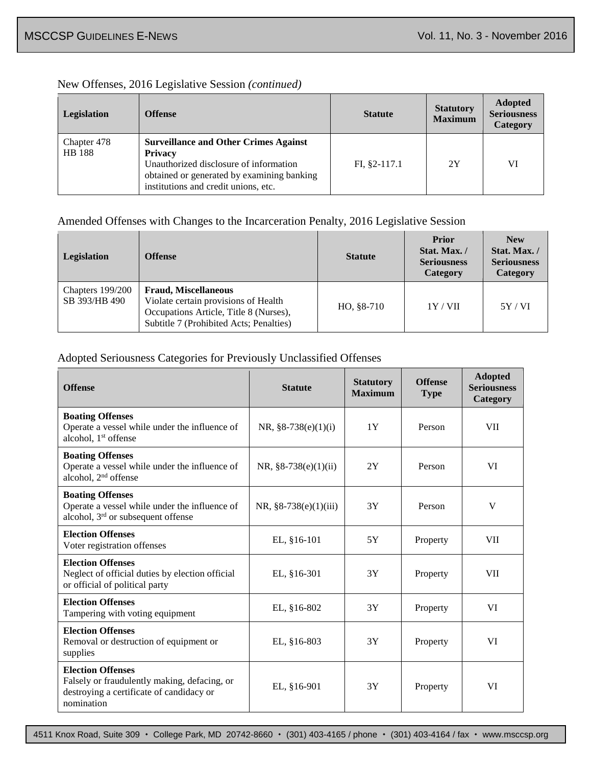#### New Offenses, 2016 Legislative Session *(continued)*

| Legislation           | <b>Offense</b>                                                                                                                                                                                 | <b>Statute</b> | <b>Statutory</b><br><b>Maximum</b> | <b>Adopted</b><br><b>Seriousness</b><br><b>Category</b> |
|-----------------------|------------------------------------------------------------------------------------------------------------------------------------------------------------------------------------------------|----------------|------------------------------------|---------------------------------------------------------|
| Chapter 478<br>HB 188 | <b>Surveillance and Other Crimes Against</b><br><b>Privacy</b><br>Unauthorized disclosure of information<br>obtained or generated by examining banking<br>institutions and credit unions, etc. | $FI, §2-117.1$ | 2Y                                 | VI                                                      |

#### Amended Offenses with Changes to the Incarceration Penalty, 2016 Legislative Session

| Legislation                         | <b>Offense</b>                                                                                                                                           | <b>Statute</b> | <b>Prior</b><br>Stat. Max. /<br><b>Seriousness</b><br>Category | <b>New</b><br>Stat. Max./<br><b>Seriousness</b><br>Category |
|-------------------------------------|----------------------------------------------------------------------------------------------------------------------------------------------------------|----------------|----------------------------------------------------------------|-------------------------------------------------------------|
| Chapters $199/200$<br>SB 393/HB 490 | <b>Fraud, Miscellaneous</b><br>Violate certain provisions of Health<br>Occupations Article, Title 8 (Nurses),<br>Subtitle 7 (Prohibited Acts; Penalties) | HO, §8-710     | 1Y/VII                                                         | 5Y/VI                                                       |

#### Adopted Seriousness Categories for Previously Unclassified Offenses

| <b>Offense</b>                                                                                                                     | <b>Statute</b>         | <b>Statutory</b><br><b>Maximum</b> | <b>Offense</b><br><b>Type</b> | <b>Adopted</b><br><b>Seriousness</b><br>Category |
|------------------------------------------------------------------------------------------------------------------------------------|------------------------|------------------------------------|-------------------------------|--------------------------------------------------|
| <b>Boating Offenses</b><br>Operate a vessel while under the influence of<br>alcohol, 1 <sup>st</sup> offense                       | NR, $§8-738(e)(1)(i)$  | 1Y                                 | Person                        | <b>VII</b>                                       |
| <b>Boating Offenses</b><br>Operate a vessel while under the influence of<br>alcohol, 2 <sup>nd</sup> offense                       | NR, $§8-738(e)(1)(ii)$ | 2Y                                 | Person                        | VI                                               |
| <b>Boating Offenses</b><br>Operate a vessel while under the influence of<br>alcohol, 3 <sup>rd</sup> or subsequent offense         | NR, §8-738(e)(1)(iii)  | 3Y                                 | Person                        | V                                                |
| <b>Election Offenses</b><br>Voter registration offenses                                                                            | EL, §16-101            | 5Y                                 | Property                      | <b>VII</b>                                       |
| <b>Election Offenses</b><br>Neglect of official duties by election official<br>or official of political party                      | EL, §16-301            | 3Y                                 | Property                      | <b>VII</b>                                       |
| <b>Election Offenses</b><br>Tampering with voting equipment                                                                        | EL, §16-802            | 3Y                                 | Property                      | VI                                               |
| <b>Election Offenses</b><br>Removal or destruction of equipment or<br>supplies                                                     | EL, §16-803            | 3Y                                 | Property                      | VI                                               |
| <b>Election Offenses</b><br>Falsely or fraudulently making, defacing, or<br>destroying a certificate of candidacy or<br>nomination | EL, §16-901            | 3Y                                 | Property                      | VI                                               |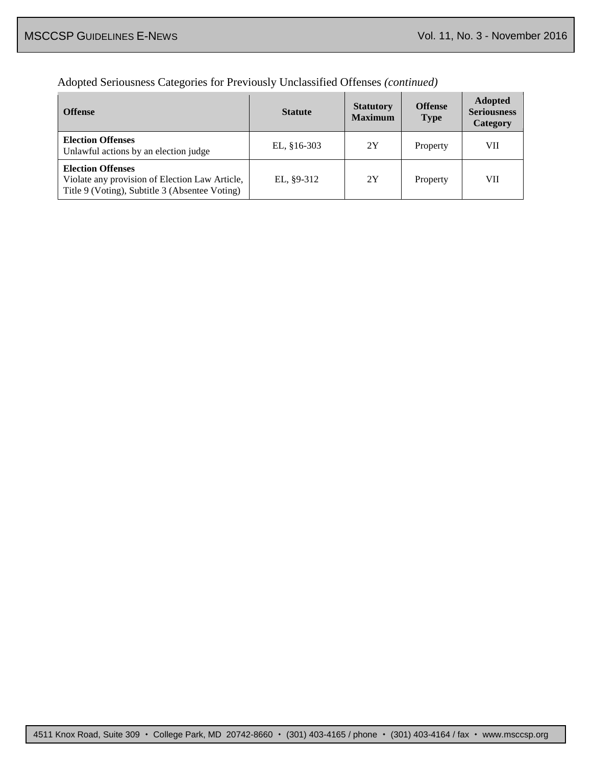#### Adopted Seriousness Categories for Previously Unclassified Offenses *(continued)*

| <b>Offense</b>                                                                                                               | <b>Statute</b> | <b>Statutory</b><br><b>Maximum</b> | <b>Offense</b><br><b>Type</b> | <b>Adopted</b><br><b>Seriousness</b><br>Category |
|------------------------------------------------------------------------------------------------------------------------------|----------------|------------------------------------|-------------------------------|--------------------------------------------------|
| <b>Election Offenses</b><br>Unlawful actions by an election judge                                                            | EL, $§16-303$  | 2Y                                 | Property                      | VII                                              |
| <b>Election Offenses</b><br>Violate any provision of Election Law Article,<br>Title 9 (Voting), Subtitle 3 (Absentee Voting) | EL, $\S9-312$  | 2Y                                 | Property                      | VII                                              |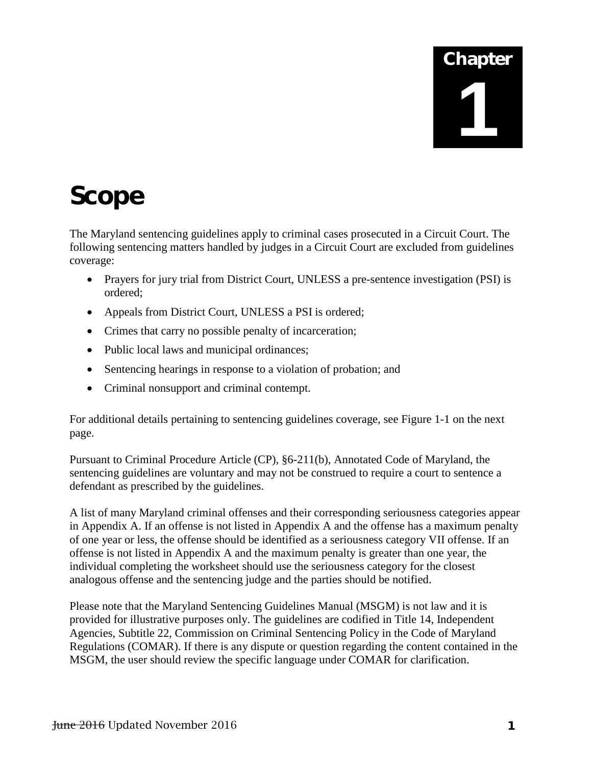# Chapter **1**

## Scope

The Maryland sentencing guidelines apply to criminal cases prosecuted in a Circuit Court. The following sentencing matters handled by judges in a Circuit Court are excluded from guidelines coverage:

- Prayers for jury trial from District Court, UNLESS a pre-sentence investigation (PSI) is ordered;
- Appeals from District Court, UNLESS a PSI is ordered;
- Crimes that carry no possible penalty of incarceration;
- Public local laws and municipal ordinances;
- Sentencing hearings in response to a violation of probation; and
- Criminal nonsupport and criminal contempt.

For additional details pertaining to sentencing guidelines coverage, see Figure 1-1 on the next page.

Pursuant to Criminal Procedure Article (CP), §6-211(b), Annotated Code of Maryland, the sentencing guidelines are voluntary and may not be construed to require a court to sentence a defendant as prescribed by the guidelines.

A list of many Maryland criminal offenses and their corresponding seriousness categories appear in Appendix A. If an offense is not listed in Appendix A and the offense has a maximum penalty of one year or less, the offense should be identified as a seriousness category VII offense. If an offense is not listed in Appendix A and the maximum penalty is greater than one year, the individual completing the worksheet should use the seriousness category for the closest analogous offense and the sentencing judge and the parties should be notified.

Please note that the Maryland Sentencing Guidelines Manual (MSGM) is not law and it is provided for illustrative purposes only. The guidelines are codified in Title 14, Independent Agencies, Subtitle 22, Commission on Criminal Sentencing Policy in the Code of Maryland Regulations (COMAR). If there is any dispute or question regarding the content contained in the MSGM, the user should review the specific language under COMAR for clarification.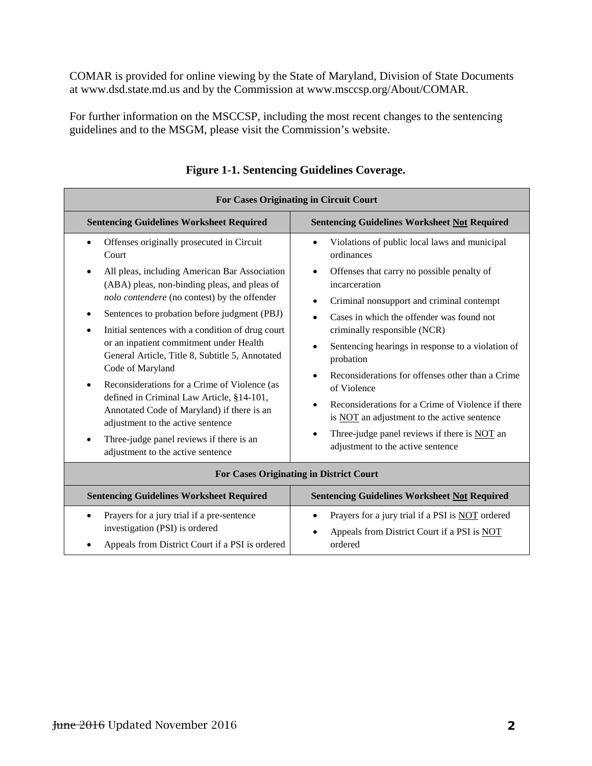COMAR is provided for online viewing by the State of Maryland, Division of State Documents at www.dsd.state.md.us and by the Commission at www.msccsp.org/About/COMAR.

For further information on the MSCCSP, including the most recent changes to the sentencing guidelines and to the MSGM, please visit the Commission's website.

| <b>For Cases Originating in Circuit Court</b>                                                                                                                                                                                                                                                                                                                                                                                                                                                                                                                                                                                                                                                   |                                                                                                                                                                                                                                                                                                                                                                                                                                                                                                                                                                                                                                            |  |  |
|-------------------------------------------------------------------------------------------------------------------------------------------------------------------------------------------------------------------------------------------------------------------------------------------------------------------------------------------------------------------------------------------------------------------------------------------------------------------------------------------------------------------------------------------------------------------------------------------------------------------------------------------------------------------------------------------------|--------------------------------------------------------------------------------------------------------------------------------------------------------------------------------------------------------------------------------------------------------------------------------------------------------------------------------------------------------------------------------------------------------------------------------------------------------------------------------------------------------------------------------------------------------------------------------------------------------------------------------------------|--|--|
| <b>Sentencing Guidelines Worksheet Required</b><br><b>Sentencing Guidelines Worksheet Not Required</b>                                                                                                                                                                                                                                                                                                                                                                                                                                                                                                                                                                                          |                                                                                                                                                                                                                                                                                                                                                                                                                                                                                                                                                                                                                                            |  |  |
| Offenses originally prosecuted in Circuit<br>Court<br>All pleas, including American Bar Association<br>٠<br>(ABA) pleas, non-binding pleas, and pleas of<br>nolo contendere (no contest) by the offender<br>Sentences to probation before judgment (PBJ)<br>Initial sentences with a condition of drug court<br>or an inpatient commitment under Health<br>General Article, Title 8, Subtitle 5, Annotated<br>Code of Maryland<br>Reconsiderations for a Crime of Violence (as<br>defined in Criminal Law Article, §14-101,<br>Annotated Code of Maryland) if there is an<br>adjustment to the active sentence<br>Three-judge panel reviews if there is an<br>adjustment to the active sentence | Violations of public local laws and municipal<br>٠<br>ordinances<br>Offenses that carry no possible penalty of<br>٠<br>incarceration<br>Criminal nonsupport and criminal contempt<br>Cases in which the offender was found not<br>criminally responsible (NCR)<br>Sentencing hearings in response to a violation of<br>probation<br>Reconsiderations for offenses other than a Crime<br>$\bullet$<br>of Violence<br>Reconsiderations for a Crime of Violence if there<br>$\bullet$<br>is <b>NOT</b> an adjustment to the active sentence<br>Three-judge panel reviews if there is NOT an<br>$\bullet$<br>adjustment to the active sentence |  |  |
| <b>For Cases Originating in District Court</b>                                                                                                                                                                                                                                                                                                                                                                                                                                                                                                                                                                                                                                                  |                                                                                                                                                                                                                                                                                                                                                                                                                                                                                                                                                                                                                                            |  |  |
| <b>Sentencing Guidelines Worksheet Required</b>                                                                                                                                                                                                                                                                                                                                                                                                                                                                                                                                                                                                                                                 | <b>Sentencing Guidelines Worksheet Not Required</b>                                                                                                                                                                                                                                                                                                                                                                                                                                                                                                                                                                                        |  |  |

|  | <b>Figure 1-1. Sentencing Guidelines Coverage.</b> |  |
|--|----------------------------------------------------|--|
|  |                                                    |  |

| For Cases Originating in District Court                                                                                                                   |                                                                                                                                      |  |  |
|-----------------------------------------------------------------------------------------------------------------------------------------------------------|--------------------------------------------------------------------------------------------------------------------------------------|--|--|
| <b>Sentencing Guidelines Worksheet Required</b>                                                                                                           | <b>Sentencing Guidelines Worksheet Not Required</b>                                                                                  |  |  |
| Prayers for a jury trial if a pre-sentence<br>$\bullet$<br>investigation (PSI) is ordered<br>Appeals from District Court if a PSI is ordered<br>$\bullet$ | Prayers for a jury trial if a PSI is NOT ordered<br>$\bullet$<br>Appeals from District Court if a PSI is NOT<br>$\bullet$<br>ordered |  |  |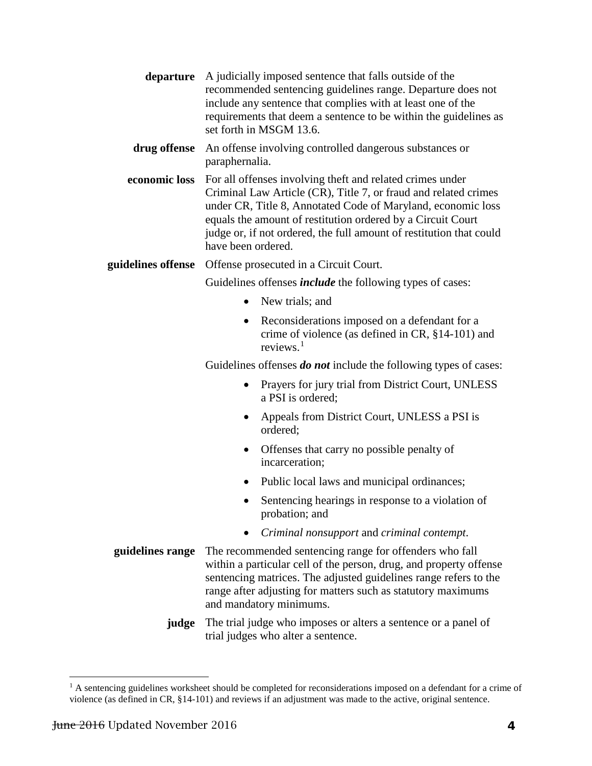| A judicially imposed sentence that falls outside of the<br>recommended sentencing guidelines range. Departure does not<br>include any sentence that complies with at least one of the<br>requirements that deem a sentence to be within the guidelines as<br>set forth in MSGM 13.6.                                                                     |
|----------------------------------------------------------------------------------------------------------------------------------------------------------------------------------------------------------------------------------------------------------------------------------------------------------------------------------------------------------|
| An offense involving controlled dangerous substances or<br>drug offense<br>paraphernalia.                                                                                                                                                                                                                                                                |
| For all offenses involving theft and related crimes under<br>Criminal Law Article (CR), Title 7, or fraud and related crimes<br>under CR, Title 8, Annotated Code of Maryland, economic loss<br>equals the amount of restitution ordered by a Circuit Court<br>judge or, if not ordered, the full amount of restitution that could<br>have been ordered. |
| Offense prosecuted in a Circuit Court.                                                                                                                                                                                                                                                                                                                   |
| Guidelines offenses <i>include</i> the following types of cases:                                                                                                                                                                                                                                                                                         |
| New trials; and                                                                                                                                                                                                                                                                                                                                          |
| Reconsiderations imposed on a defendant for a<br>crime of violence (as defined in CR, $§14-101$ ) and<br>reviews. $1$                                                                                                                                                                                                                                    |
|                                                                                                                                                                                                                                                                                                                                                          |

Guidelines offenses *do not* include the following types of cases:

- Prayers for jury trial from District Court, UNLESS a PSI is ordered;
- Appeals from District Court, UNLESS a PSI is ordered;
- Offenses that carry no possible penalty of incarceration;
- Public local laws and municipal ordinances;
- Sentencing hearings in response to a violation of probation; and
- *Criminal nonsupport* and *criminal contempt*.
- **guidelines range** The recommended sentencing range for offenders who fall within a particular cell of the person, drug, and property offense sentencing matrices. The adjusted guidelines range refers to the range after adjusting for matters such as statutory maximums and mandatory minimums.
	- **judge** The trial judge who imposes or alters a sentence or a panel of trial judges who alter a sentence.

<span id="page-6-0"></span><sup>&</sup>lt;sup>1</sup> A sentencing guidelines worksheet should be completed for reconsiderations imposed on a defendant for a crime of violence (as defined in CR, §14-101) and reviews if an adjustment was made to the active, original sentence.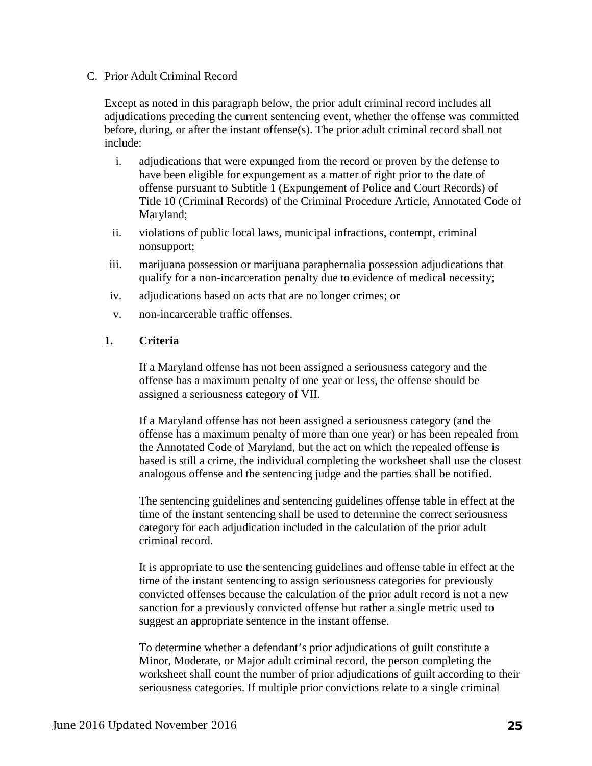#### C. Prior Adult Criminal Record

Except as noted in this paragraph below, the prior adult criminal record includes all adjudications preceding the current sentencing event, whether the offense was committed before, during, or after the instant offense(s). The prior adult criminal record shall not include:

- i. adjudications that were expunged from the record or proven by the defense to have been eligible for expungement as a matter of right prior to the date of offense pursuant to Subtitle 1 (Expungement of Police and Court Records) of Title 10 (Criminal Records) of the Criminal Procedure Article, Annotated Code of Maryland;
- ii. violations of public local laws, municipal infractions, contempt, criminal nonsupport;
- iii. marijuana possession or marijuana paraphernalia possession adjudications that qualify for a non-incarceration penalty due to evidence of medical necessity;
- iv. adjudications based on acts that are no longer crimes; or
- v. non-incarcerable traffic offenses.

#### **1. Criteria**

If a Maryland offense has not been assigned a seriousness category and the offense has a maximum penalty of one year or less, the offense should be assigned a seriousness category of VII.

If a Maryland offense has not been assigned a seriousness category (and the offense has a maximum penalty of more than one year) or has been repealed from the Annotated Code of Maryland, but the act on which the repealed offense is based is still a crime, the individual completing the worksheet shall use the closest analogous offense and the sentencing judge and the parties shall be notified.

The sentencing guidelines and sentencing guidelines offense table in effect at the time of the instant sentencing shall be used to determine the correct seriousness category for each adjudication included in the calculation of the prior adult criminal record.

It is appropriate to use the sentencing guidelines and offense table in effect at the time of the instant sentencing to assign seriousness categories for previously convicted offenses because the calculation of the prior adult record is not a new sanction for a previously convicted offense but rather a single metric used to suggest an appropriate sentence in the instant offense.

To determine whether a defendant's prior adjudications of guilt constitute a Minor, Moderate, or Major adult criminal record, the person completing the worksheet shall count the number of prior adjudications of guilt according to their seriousness categories. If multiple prior convictions relate to a single criminal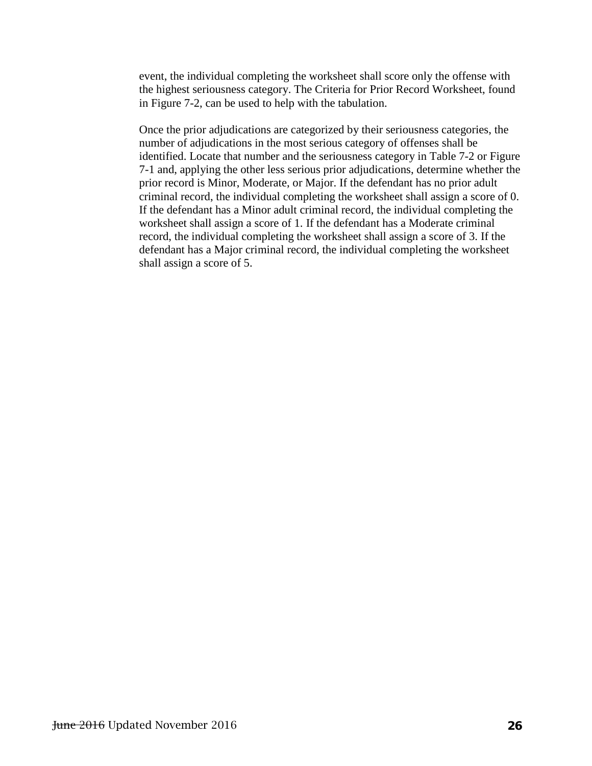event, the individual completing the worksheet shall score only the offense with the highest seriousness category. The Criteria for Prior Record Worksheet, found in Figure 7-2, can be used to help with the tabulation.

Once the prior adjudications are categorized by their seriousness categories, the number of adjudications in the most serious category of offenses shall be identified. Locate that number and the seriousness category in Table 7-2 or Figure 7-1 and, applying the other less serious prior adjudications, determine whether the prior record is Minor, Moderate, or Major. If the defendant has no prior adult criminal record, the individual completing the worksheet shall assign a score of 0. If the defendant has a Minor adult criminal record, the individual completing the worksheet shall assign a score of 1. If the defendant has a Moderate criminal record, the individual completing the worksheet shall assign a score of 3. If the defendant has a Major criminal record, the individual completing the worksheet shall assign a score of 5.